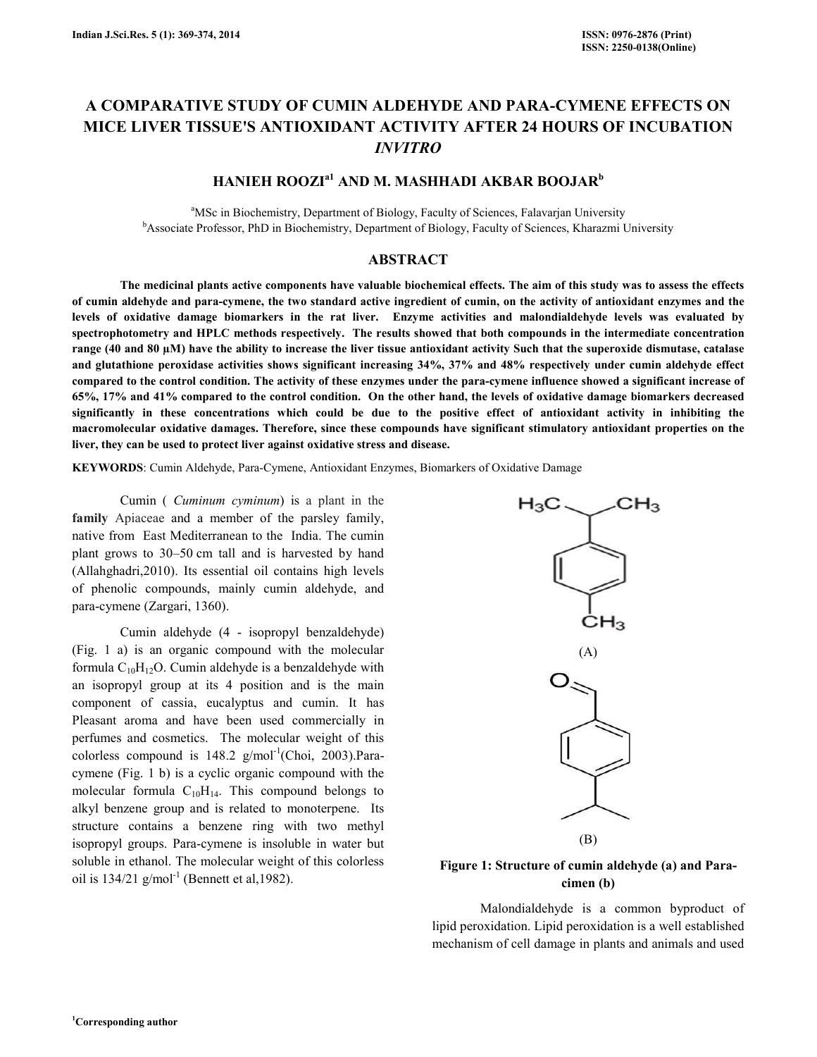# A COMPARATIVE STUDY OF CUMIN ALDEHYDE AND PARA-CYMENE EFFECTS ON MICE LIVER TISSUE'S ANTIOXIDANT ACTIVITY AFTER 24 HOURS OF INCUBATION INVITRO

# HANIEH ROOZI<sup>a1</sup> AND M. MASHHADI AKBAR BOOJAR<sup>b</sup>

<sup>a</sup>MSc in Biochemistry, Department of Biology, Faculty of Sciences, Falavarjan University <sup>b</sup>Associate Professor, PhD in Biochemistry, Department of Biology, Faculty of Sciences, Kharazmi University

### ABSTRACT

 The medicinal plants active components have valuable biochemical effects. The aim of this study was to assess the effects of cumin aldehyde and para-cymene, the two standard active ingredient of cumin, on the activity of antioxidant enzymes and the levels of oxidative damage biomarkers in the rat liver. Enzyme activities and malondialdehyde levels was evaluated by spectrophotometry and HPLC methods respectively. The results showed that both compounds in the intermediate concentration range (40 and 80 µM) have the ability to increase the liver tissue antioxidant activity Such that the superoxide dismutase, catalase and glutathione peroxidase activities shows significant increasing 34%, 37% and 48% respectively under cumin aldehyde effect compared to the control condition. The activity of these enzymes under the para-cymene influence showed a significant increase of 65%, 17% and 41% compared to the control condition. On the other hand, the levels of oxidative damage biomarkers decreased significantly in these concentrations which could be due to the positive effect of antioxidant activity in inhibiting the macromolecular oxidative damages. Therefore, since these compounds have significant stimulatory antioxidant properties on the liver, they can be used to protect liver against oxidative stress and disease.

KEYWORDS: Cumin Aldehyde, Para-Cymene, Antioxidant Enzymes, Biomarkers of Oxidative Damage

 Cumin ( Cuminum cyminum) is a plant in the family Apiaceae and a member of the parsley family, native from East Mediterranean to the India. The cumin plant grows to 30–50 cm tall and is harvested by hand (Allahghadri,2010). Its essential oil contains high levels of phenolic compounds, mainly cumin aldehyde, and para-cymene (Zargari, 1360).

 Cumin aldehyde (4 - isopropyl benzaldehyde) (Fig. 1 a) is an organic compound with the molecular formula  $C_{10}H_{12}O$ . Cumin aldehyde is a benzaldehyde with an isopropyl group at its 4 position and is the main component of cassia, eucalyptus and cumin. It has Pleasant aroma and have been used commercially in perfumes and cosmetics. The molecular weight of this colorless compound is  $148.2$  g/mol<sup>-1</sup>(Choi, 2003).Paracymene (Fig. 1 b) is a cyclic organic compound with the molecular formula  $C_{10}H_{14}$ . This compound belongs to alkyl benzene group and is related to monoterpene. Its structure contains a benzene ring with two methyl isopropyl groups. Para-cymene is insoluble in water but soluble in ethanol. The molecular weight of this colorless oil is  $134/21$  g/mol<sup>-1</sup> (Bennett et al, 1982).



### Figure 1: Structure of cumin aldehyde (a) and Paracimen (b)

 Malondialdehyde is a common byproduct of lipid peroxidation. Lipid peroxidation is a well established mechanism of cell damage in plants and animals and used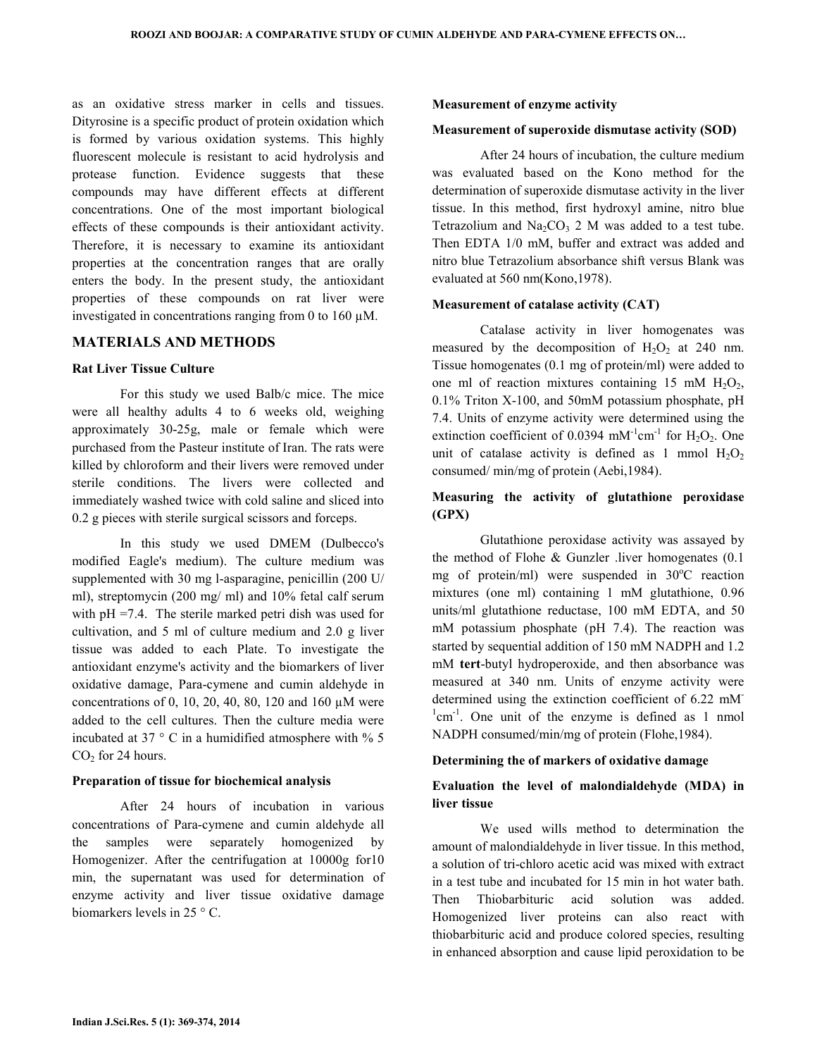as an oxidative stress marker in cells and tissues. Dityrosine is a specific product of protein oxidation which is formed by various oxidation systems. This highly fluorescent molecule is resistant to acid hydrolysis and protease function. Evidence suggests that these compounds may have different effects at different concentrations. One of the most important biological effects of these compounds is their antioxidant activity. Therefore, it is necessary to examine its antioxidant properties at the concentration ranges that are orally enters the body. In the present study, the antioxidant properties of these compounds on rat liver were investigated in concentrations ranging from 0 to 160 µM.

### MATERIALS AND METHODS

#### Rat Liver Tissue Culture

 For this study we used Balb/c mice. The mice were all healthy adults 4 to 6 weeks old, weighing approximately 30-25g, male or female which were purchased from the Pasteur institute of Iran. The rats were killed by chloroform and their livers were removed under sterile conditions. The livers were collected and immediately washed twice with cold saline and sliced into 0.2 g pieces with sterile surgical scissors and forceps.

 In this study we used DMEM (Dulbecco's modified Eagle's medium). The culture medium was supplemented with 30 mg l-asparagine, penicillin (200 U/ ml), streptomycin (200 mg/ ml) and 10% fetal calf serum with pH =7.4. The sterile marked petri dish was used for cultivation, and 5 ml of culture medium and 2.0 g liver tissue was added to each Plate. To investigate the antioxidant enzyme's activity and the biomarkers of liver oxidative damage, Para-cymene and cumin aldehyde in concentrations of 0, 10, 20, 40, 80, 120 and 160 µM were added to the cell cultures. Then the culture media were incubated at 37  $\degree$  C in a humidified atmosphere with  $\%$  5  $CO<sub>2</sub>$  for 24 hours.

#### Preparation of tissue for biochemical analysis

 After 24 hours of incubation in various concentrations of Para-cymene and cumin aldehyde all the samples were separately homogenized by Homogenizer. After the centrifugation at 10000g for10 min, the supernatant was used for determination of enzyme activity and liver tissue oxidative damage biomarkers levels in 25 ° C.

#### Measurement of enzyme activity

#### Measurement of superoxide dismutase activity (SOD)

 After 24 hours of incubation, the culture medium was evaluated based on the Kono method for the determination of superoxide dismutase activity in the liver tissue. In this method, first hydroxyl amine, nitro blue Tetrazolium and  $Na<sub>2</sub>CO<sub>3</sub>$  2 M was added to a test tube. Then EDTA 1/0 mM, buffer and extract was added and nitro blue Tetrazolium absorbance shift versus Blank was evaluated at 560 nm(Kono,1978).

#### Measurement of catalase activity (CAT)

 Catalase activity in liver homogenates was measured by the decomposition of  $H_2O_2$  at 240 nm. Tissue homogenates (0.1 mg of protein/ml) were added to one ml of reaction mixtures containing 15 mM  $H_2O_2$ , 0.1% Triton X-100, and 50mM potassium phosphate, pH 7.4. Units of enzyme activity were determined using the extinction coefficient of 0.0394 mM<sup>-1</sup>cm<sup>-1</sup> for H<sub>2</sub>O<sub>2</sub>. One unit of catalase activity is defined as 1 mmol  $H_2O_2$ consumed/ min/mg of protein (Aebi,1984).

### Measuring the activity of glutathione peroxidase (GPX)

 Glutathione peroxidase activity was assayed by the method of Flohe & Gunzler .liver homogenates (0.1 mg of protein/ml) were suspended in  $30^{\circ}$ C reaction mixtures (one ml) containing 1 mM glutathione, 0.96 units/ml glutathione reductase, 100 mM EDTA, and 50 mM potassium phosphate (pH 7.4). The reaction was started by sequential addition of 150 mM NADPH and 1.2 mM tert-butyl hydroperoxide, and then absorbance was measured at 340 nm. Units of enzyme activity were determined using the extinction coefficient of 6.22 mM- $1$ cm<sup>-1</sup>. One unit of the enzyme is defined as 1 nmol NADPH consumed/min/mg of protein (Flohe,1984).

#### Determining the of markers of oxidative damage

### Evaluation the level of malondialdehyde (MDA) in liver tissue

 We used wills method to determination the amount of malondialdehyde in liver tissue. In this method, a solution of tri-chloro acetic acid was mixed with extract in a test tube and incubated for 15 min in hot water bath. Then Thiobarbituric acid solution was added. Homogenized liver proteins can also react with thiobarbituric acid and produce colored species, resulting in enhanced absorption and cause lipid peroxidation to be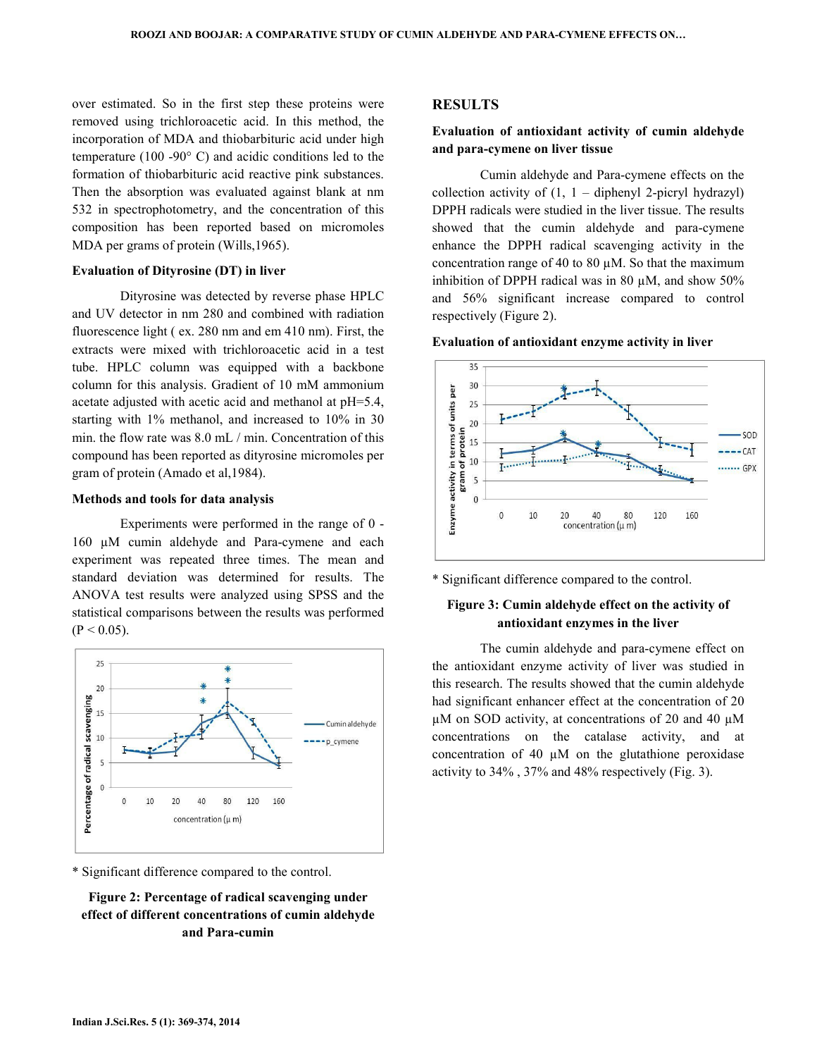over estimated. So in the first step these proteins were removed using trichloroacetic acid. In this method, the incorporation of MDA and thiobarbituric acid under high temperature (100 -90° C) and acidic conditions led to the formation of thiobarbituric acid reactive pink substances. Then the absorption was evaluated against blank at nm 532 in spectrophotometry, and the concentration of this composition has been reported based on micromoles MDA per grams of protein (Wills,1965).

#### Evaluation of Dityrosine (DT) in liver

 Dityrosine was detected by reverse phase HPLC and UV detector in nm 280 and combined with radiation fluorescence light ( ex. 280 nm and em 410 nm). First, the extracts were mixed with trichloroacetic acid in a test tube. HPLC column was equipped with a backbone column for this analysis. Gradient of 10 mM ammonium acetate adjusted with acetic acid and methanol at pH=5.4, starting with 1% methanol, and increased to 10% in 30 min. the flow rate was 8.0 mL / min. Concentration of this compound has been reported as dityrosine micromoles per gram of protein (Amado et al,1984).

#### Methods and tools for data analysis

 Experiments were performed in the range of 0 - 160 µM cumin aldehyde and Para-cymene and each experiment was repeated three times. The mean and standard deviation was determined for results. The ANOVA test results were analyzed using SPSS and the statistical comparisons between the results was performed  $(P < 0.05)$ .



\* Significant difference compared to the control.

# Figure 2: Percentage of radical scavenging under effect of different concentrations of cumin aldehyde and Para-cumin

### RESULTS

### Evaluation of antioxidant activity of cumin aldehyde and para-cymene on liver tissue

 Cumin aldehyde and Para-cymene effects on the collection activity of  $(1, 1 -$  diphenyl 2-picryl hydrazyl) DPPH radicals were studied in the liver tissue. The results showed that the cumin aldehyde and para-cymene enhance the DPPH radical scavenging activity in the concentration range of 40 to 80  $\mu$ M. So that the maximum inhibition of DPPH radical was in 80  $\mu$ M, and show 50% and 56% significant increase compared to control respectively (Figure 2).





\* Significant difference compared to the control.

### Figure 3: Cumin aldehyde effect on the activity of antioxidant enzymes in the liver

 The cumin aldehyde and para-cymene effect on the antioxidant enzyme activity of liver was studied in this research. The results showed that the cumin aldehyde had significant enhancer effect at the concentration of 20  $\mu$ M on SOD activity, at concentrations of 20 and 40  $\mu$ M concentrations on the catalase activity, and at concentration of 40 µM on the glutathione peroxidase activity to 34% , 37% and 48% respectively (Fig. 3).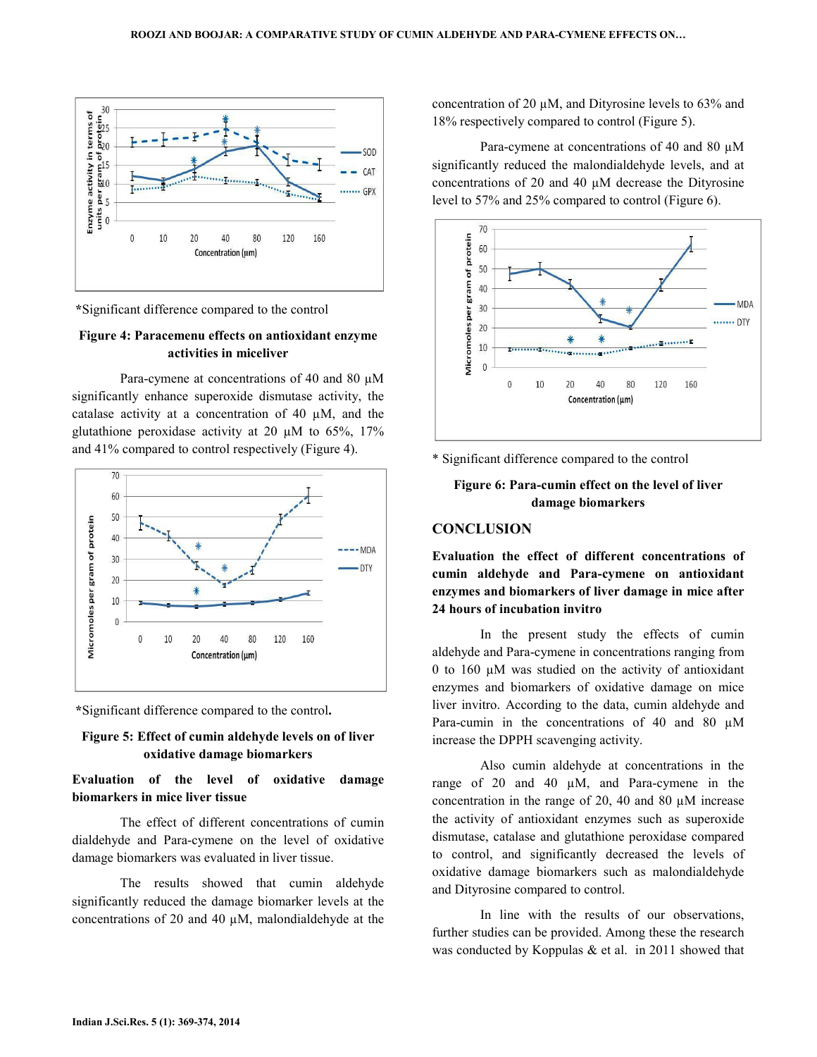

\*Significant difference compared to the control

### Figure 4: Paracemenu effects on antioxidant enzyme activities in miceliver

Para-cymene at concentrations of 40 and 80  $\mu$ M significantly enhance superoxide dismutase activity, the catalase activity at a concentration of 40 µM, and the glutathione peroxidase activity at 20  $\mu$ M to 65%, 17% and 41% compared to control respectively (Figure 4).



\*Significant difference compared to the control.

### Figure 5: Effect of cumin aldehyde levels on of liver oxidative damage biomarkers

# Evaluation of the level of oxidative damage biomarkers in mice liver tissue

 The effect of different concentrations of cumin dialdehyde and Para-cymene on the level of oxidative damage biomarkers was evaluated in liver tissue.

 The results showed that cumin aldehyde significantly reduced the damage biomarker levels at the concentrations of 20 and 40 µM, malondialdehyde at the concentration of 20 µM, and Dityrosine levels to 63% and 18% respectively compared to control (Figure 5).

Para-cymene at concentrations of 40 and 80  $\mu$ M significantly reduced the malondialdehyde levels, and at concentrations of 20 and 40 µM decrease the Dityrosine level to 57% and 25% compared to control (Figure 6).



\* Significant difference compared to the control

# Figure 6: Para-cumin effect on the level of liver damage biomarkers

## **CONCLUSION**

Evaluation the effect of different concentrations of cumin aldehyde and Para-cymene on antioxidant enzymes and biomarkers of liver damage in mice after 24 hours of incubation invitro

 In the present study the effects of cumin aldehyde and Para-cymene in concentrations ranging from 0 to 160 µM was studied on the activity of antioxidant enzymes and biomarkers of oxidative damage on mice liver invitro. According to the data, cumin aldehyde and Para-cumin in the concentrations of 40 and 80  $\mu$ M increase the DPPH scavenging activity.

 Also cumin aldehyde at concentrations in the range of 20 and 40 µM, and Para-cymene in the concentration in the range of 20, 40 and 80 µM increase the activity of antioxidant enzymes such as superoxide dismutase, catalase and glutathione peroxidase compared to control, and significantly decreased the levels of oxidative damage biomarkers such as malondialdehyde and Dityrosine compared to control.

 In line with the results of our observations, further studies can be provided. Among these the research was conducted by Koppulas & et al. in 2011 showed that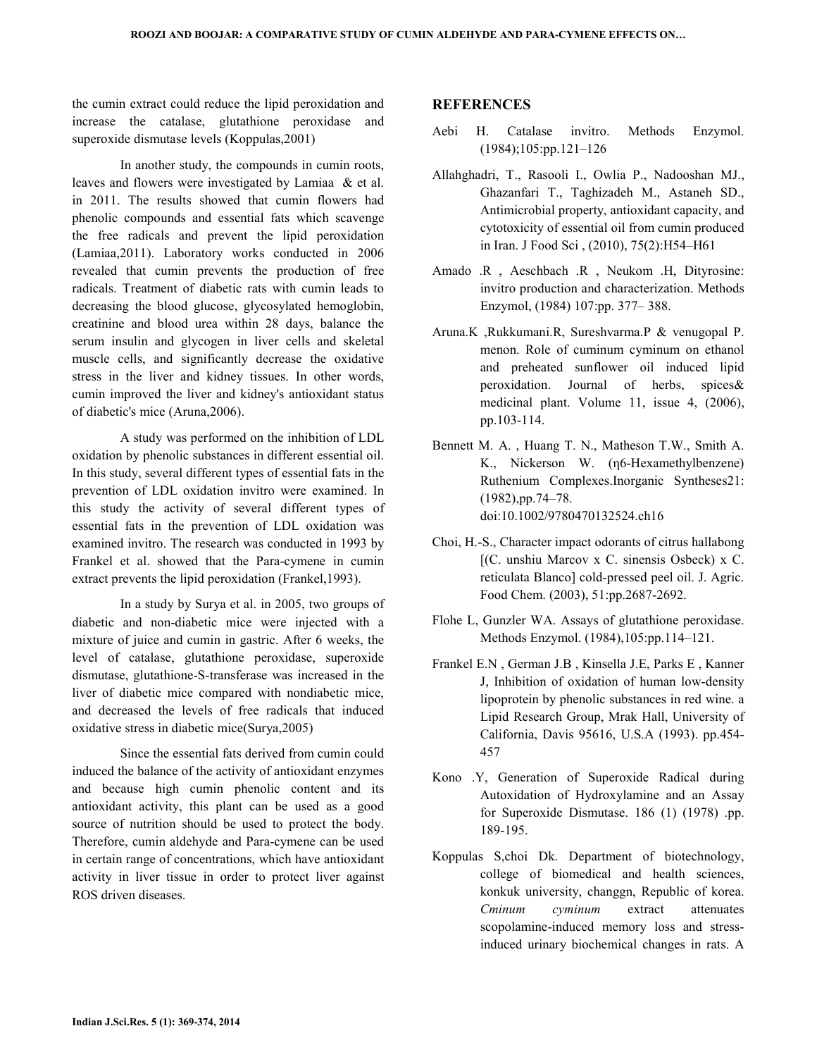the cumin extract could reduce the lipid peroxidation and increase the catalase, glutathione peroxidase and superoxide dismutase levels (Koppulas,2001)

 In another study, the compounds in cumin roots, leaves and flowers were investigated by Lamiaa & et al. in 2011. The results showed that cumin flowers had phenolic compounds and essential fats which scavenge the free radicals and prevent the lipid peroxidation (Lamiaa,2011). Laboratory works conducted in 2006 revealed that cumin prevents the production of free radicals. Treatment of diabetic rats with cumin leads to decreasing the blood glucose, glycosylated hemoglobin, creatinine and blood urea within 28 days, balance the serum insulin and glycogen in liver cells and skeletal muscle cells, and significantly decrease the oxidative stress in the liver and kidney tissues. In other words, cumin improved the liver and kidney's antioxidant status of diabetic's mice (Aruna,2006).

 A study was performed on the inhibition of LDL oxidation by phenolic substances in different essential oil. In this study, several different types of essential fats in the prevention of LDL oxidation invitro were examined. In this study the activity of several different types of essential fats in the prevention of LDL oxidation was examined invitro. The research was conducted in 1993 by Frankel et al. showed that the Para-cymene in cumin extract prevents the lipid peroxidation (Frankel,1993).

 In a study by Surya et al. in 2005, two groups of diabetic and non-diabetic mice were injected with a mixture of juice and cumin in gastric. After 6 weeks, the level of catalase, glutathione peroxidase, superoxide dismutase, glutathione-S-transferase was increased in the liver of diabetic mice compared with nondiabetic mice, and decreased the levels of free radicals that induced oxidative stress in diabetic mice(Surya,2005)

 Since the essential fats derived from cumin could induced the balance of the activity of antioxidant enzymes and because high cumin phenolic content and its antioxidant activity, this plant can be used as a good source of nutrition should be used to protect the body. Therefore, cumin aldehyde and Para-cymene can be used in certain range of concentrations, which have antioxidant activity in liver tissue in order to protect liver against ROS driven diseases.

### **REFERENCES**

- Aebi H. Catalase invitro. Methods Enzymol. (1984);105:pp.121–126
- Allahghadri, T., Rasooli I., Owlia P., Nadooshan MJ., Ghazanfari T., Taghizadeh M., Astaneh SD., Antimicrobial property, antioxidant capacity, and cytotoxicity of essential oil from cumin produced in Iran. J Food Sci , (2010), 75(2):H54–H61
- Amado .R , Aeschbach .R , Neukom .H, Dityrosine: invitro production and characterization. Methods Enzymol, (1984) 107:pp. 377– 388.
- Aruna.K ,Rukkumani.R, Sureshvarma.P & venugopal P. menon. Role of cuminum cyminum on ethanol and preheated sunflower oil induced lipid peroxidation. Journal of herbs, spices& medicinal plant. Volume 11, issue 4, (2006), pp.103-114.
- Bennett M. A. , Huang T. N., Matheson T.W., Smith A. K., Nickerson W. (η6-Hexamethylbenzene) Ruthenium Complexes.Inorganic Syntheses21: (1982),pp.74–78. doi:10.1002/9780470132524.ch16
- Choi, H.-S., Character impact odorants of citrus hallabong [(C. unshiu Marcov x C. sinensis Osbeck) x C. reticulata Blanco] cold-pressed peel oil. J. Agric. Food Chem. (2003), 51:pp.2687-2692.
- Flohe L, Gunzler WA. Assays of glutathione peroxidase. Methods Enzymol. (1984),105:pp.114–121.
- Frankel E.N , German J.B , Kinsella J.E, Parks E , Kanner J, Inhibition of oxidation of human low-density lipoprotein by phenolic substances in red wine. a Lipid Research Group, Mrak Hall, University of California, Davis 95616, U.S.A (1993). pp.454- 457
- Kono .Y, Generation of Superoxide Radical during Autoxidation of Hydroxylamine and an Assay for Superoxide Dismutase. 186 (1) (1978) .pp. 189-195.
- Koppulas S,choi Dk. Department of biotechnology, college of biomedical and health sciences, konkuk university, changgn, Republic of korea. Cminum cyminum extract attenuates scopolamine-induced memory loss and stressinduced urinary biochemical changes in rats. A